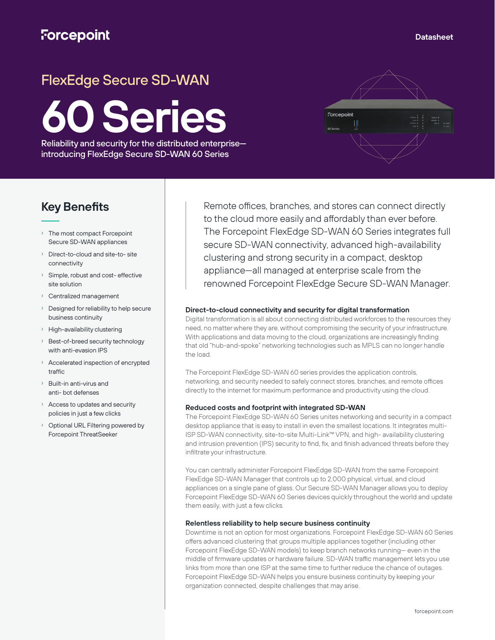## **Forcepoint**

# FlexEdge Secure SD-WAN

**60 Series**

Reliability and security for the distributed enterprise introducing FlexEdge Secure SD-WAN 60 Series



### **Key Benefits**

- › The most compact Forcepoint Secure SD-WAN appliances
- Direct-to-cloud and site-to- site connectivity
- Simple, robust and cost- effective site solution
- Centralized management
- › Designed for reliability to help secure business continuity
- › High-availability clustering
- Best-of-breed security technology with anti-evasion IPS
- › Accelerated inspection of encrypted traffic
- › Built-in anti-virus and anti- bot defenses
- › Access to updates and security policies in just a few clicks
- Optional URL Filtering powered by Forcepoint ThreatSeeker

Remote offices, branches, and stores can connect directly to the cloud more easily and affordably than ever before. The Forcepoint FlexEdge SD-WAN 60 Series integrates full secure SD-WAN connectivity, advanced high-availability clustering and strong security in a compact, desktop appliance—all managed at enterprise scale from the renowned Forcepoint FlexEdge Secure SD-WAN Manager.

#### **Direct-to-cloud connectivity and security for digital transformation**

Digital transformation is all about connecting distributed workforces to the resources they need, no matter where they are, without compromising the security of your infrastructure. With applications and data moving to the cloud, organizations are increasingly finding that old "hub-and-spoke" networking technologies such as MPLS can no longer handle the load.

The Forcepoint FlexEdge SD-WAN 60 series provides the application controls, networking, and security needed to safely connect stores, branches, and remote offices directly to the internet for maximum performance and productivity using the cloud.

#### **Reduced costs and footprint with integrated SD-WAN**

The Forcepoint FlexEdge SD-WAN 60 Series unites networking and security in a compact desktop appliance that is easy to install in even the smallest locations. It integrates multi-ISP SD-WAN connectivity, site-to-site Multi-Link™ VPN, and high- availability clustering and intrusion prevention (IPS) security to find, fix, and finish advanced threats before they infiltrate your infrastructure.

You can centrally administer Forcepoint FlexEdge SD-WAN from the same Forcepoint FlexEdge SD-WAN Manager that controls up to 2,000 physical, virtual, and cloud appliances on a single pane of glass. Our Secure SD-WAN Manager allows you to deploy Forcepoint FlexEdge SD-WAN 60 Series devices quickly throughout the world and update them easily, with just a few clicks.

#### **Relentless reliability to help secure business continuity**

Downtime is not an option for most organizations. Forcepoint FlexEdge SD-WAN 60 Series offers advanced clustering that groups multiple appliances together (including other Forcepoint FlexEdge SD-WAN models) to keep branch networks running— even in the middle of firmware updates or hardware failure. SD-WAN traffic management lets you use links from more than one ISP at the same time to further reduce the chance of outages. Forcepoint FlexEdge SD-WAN helps you ensure business continuity by keeping your organization connected, despite challenges that may arise.